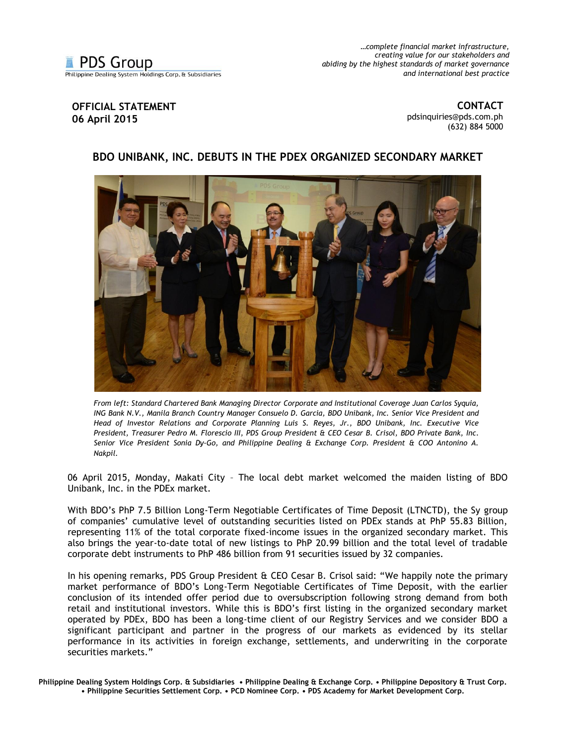*…complete financial market infrastructure, creating value for our stakeholders and abiding by the highest standards of market governance and international best practice*

## **OFFICIAL STATEMENT 06 April 2015**

**CONTACT** [pdsinquiries@pds.com.ph](mailto:pdsinquiries@pds.com.ph) (632) 884 5000

## **BDO UNIBANK, INC. DEBUTS IN THE PDEX ORGANIZED SECONDARY MARKET**



*From left: Standard Chartered Bank Managing Director Corporate and Institutional Coverage Juan Carlos Syquia, ING Bank N.V., Manila Branch Country Manager Consuelo D. Garcia, BDO Unibank, Inc. Senior Vice President and Head of Investor Relations and Corporate Planning Luis S. Reyes, Jr., BDO Unibank, Inc. Executive Vice President, Treasurer Pedro M. Florescio III, PDS Group President & CEO Cesar B. Crisol, BDO Private Bank, Inc. Senior Vice President Sonia Dy-Go, and Philippine Dealing & Exchange Corp. President & COO Antonino A. Nakpil.* 

06 April 2015, Monday, Makati City – The local debt market welcomed the maiden listing of BDO Unibank, Inc. in the PDEx market.

With BDO's PhP 7.5 Billion Long-Term Negotiable Certificates of Time Deposit (LTNCTD), the Sy group of companies' cumulative level of outstanding securities listed on PDEx stands at PhP 55.83 Billion, representing 11% of the total corporate fixed-income issues in the organized secondary market. This also brings the year-to-date total of new listings to PhP 20.99 billion and the total level of tradable corporate debt instruments to PhP 486 billion from 91 securities issued by 32 companies.

In his opening remarks, PDS Group President & CEO Cesar B. Crisol said: "We happily note the primary market performance of BDO's Long-Term Negotiable Certificates of Time Deposit, with the earlier conclusion of its intended offer period due to oversubscription following strong demand from both retail and institutional investors. While this is BDO's first listing in the organized secondary market operated by PDEx, BDO has been a long-time client of our Registry Services and we consider BDO a significant participant and partner in the progress of our markets as evidenced by its stellar performance in its activities in foreign exchange, settlements, and underwriting in the corporate securities markets."

**Philippine Dealing System Holdings Corp. & Subsidiaries • Philippine Dealing & Exchange Corp. • Philippine Depository & Trust Corp. • Philippine Securities Settlement Corp. • PCD Nominee Corp. • PDS Academy for Market Development Corp.**